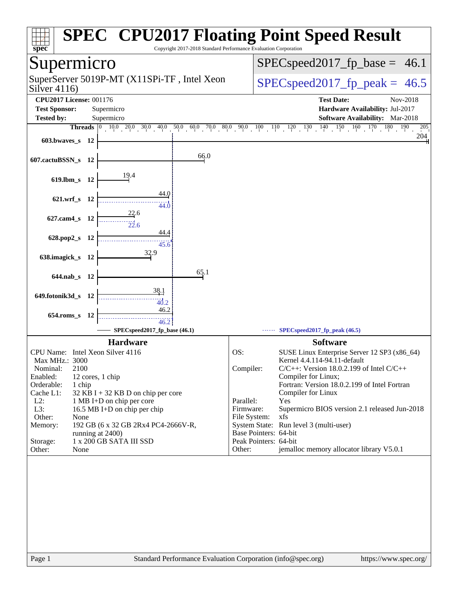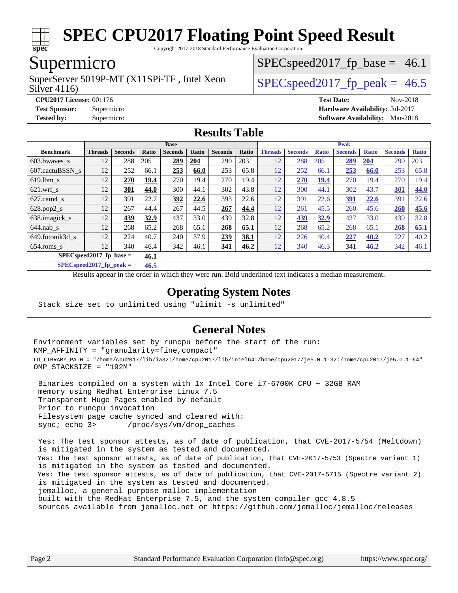

Copyright 2017-2018 Standard Performance Evaluation Corporation

## Supermicro

Silver 4116) SuperServer 5019P-MT (X11SPi-TF, Intel Xeon  $S^{2}$  SPECspeed 2017 fp\_peak = 46.5

 $SPECspeed2017_fp\_base = 46.1$ 

**[CPU2017 License:](http://www.spec.org/auto/cpu2017/Docs/result-fields.html#CPU2017License)** 001176 **[Test Date:](http://www.spec.org/auto/cpu2017/Docs/result-fields.html#TestDate)** Nov-2018 **[Test Sponsor:](http://www.spec.org/auto/cpu2017/Docs/result-fields.html#TestSponsor)** Supermicro **[Hardware Availability:](http://www.spec.org/auto/cpu2017/Docs/result-fields.html#HardwareAvailability)** Jul-2017 **[Tested by:](http://www.spec.org/auto/cpu2017/Docs/result-fields.html#Testedby)** Supermicro **[Software Availability:](http://www.spec.org/auto/cpu2017/Docs/result-fields.html#SoftwareAvailability)** Mar-2018

#### **[Results Table](http://www.spec.org/auto/cpu2017/Docs/result-fields.html#ResultsTable)**

|                             | <b>Base</b>    |                |              |                |       |                | <b>Peak</b> |                |                |              |                |              |                |              |
|-----------------------------|----------------|----------------|--------------|----------------|-------|----------------|-------------|----------------|----------------|--------------|----------------|--------------|----------------|--------------|
| <b>Benchmark</b>            | <b>Threads</b> | <b>Seconds</b> | <b>Ratio</b> | <b>Seconds</b> | Ratio | <b>Seconds</b> | Ratio       | <b>Threads</b> | <b>Seconds</b> | <b>Ratio</b> | <b>Seconds</b> | <b>Ratio</b> | <b>Seconds</b> | <b>Ratio</b> |
| 603.bwayes s                | 12             | 288            | 205          | 289            | 204   | 290            | 203         | 12             | 288            | 205          | 289            | 204          | 290            | 203          |
| 607.cactuBSSN s             | 12             | 252            | 66.1         | 253            | 66.0  | 253            | 65.8        | 12             | 252            | 66.1         | 253            | 66.0         | 253            | 65.8         |
| $619.1$ bm s                | 12             | 270            | 19.4         | 270            | 19.4  | 270            | 19.4        | 12             | 270            | <u>19.4</u>  | 270            | 19.4         | 270            | 19.4         |
| $621$ wrf s                 | 12             | 301            | 44.0         | 300            | 44.1  | 302            | 43.8        | 12             | 300            | 44.1         | 302            | 43.7         | 301            | 44.0         |
| $627$ .cam4 s               | 12             | 391            | 22.7         | 392            | 22.6  | 393            | 22.6        | 12             | 391            | 22.6         | <u>391</u>     | 22.6         | 391            | 22.6         |
| $628.pop2_s$                | 12             | 267            | 44.4         | 267            | 44.5  | 267            | 44.4        | 12             | 261            | 45.5         | 260            | 45.6         | 260            | 45.6         |
| 638.imagick_s               | 12             | 439            | 32.9         | 437            | 33.0  | 439            | 32.8        | 12             | 439            | 32.9         | 437            | 33.0         | 439            | 32.8         |
| $644$ .nab s                | 12             | 268            | 65.2         | 268            | 65.1  | 268            | 65.1        | 12             | 268            | 65.2         | 268            | 65.1         | 268            | 65.1         |
| 649.fotonik3d s             | 12             | 224            | 40.7         | 240            | 37.9  | 239            | 38.1        | 12             | 226            | 40.4         | 227            | 40.2         | 227            | 40.2         |
| $654$ .roms s               | 12             | 340            | 46.4         | 342            | 46.1  | 341            | 46.2        | 12             | 340            | 46.3         | 341            | 46.2         | 342            | 46.1         |
| $SPEC speed2017_fp\_base =$ |                |                | 46.1         |                |       |                |             |                |                |              |                |              |                |              |

**[SPECspeed2017\\_fp\\_peak =](http://www.spec.org/auto/cpu2017/Docs/result-fields.html#SPECspeed2017fppeak) 46.5**

Results appear in the [order in which they were run.](http://www.spec.org/auto/cpu2017/Docs/result-fields.html#RunOrder) Bold underlined text [indicates a median measurement](http://www.spec.org/auto/cpu2017/Docs/result-fields.html#Median).

#### **[Operating System Notes](http://www.spec.org/auto/cpu2017/Docs/result-fields.html#OperatingSystemNotes)**

Stack size set to unlimited using "ulimit -s unlimited"

#### **[General Notes](http://www.spec.org/auto/cpu2017/Docs/result-fields.html#GeneralNotes)**

Environment variables set by runcpu before the start of the run: KMP\_AFFINITY = "granularity=fine,compact" LD\_LIBRARY\_PATH = "/home/cpu2017/lib/ia32:/home/cpu2017/lib/intel64:/home/cpu2017/je5.0.1-32:/home/cpu2017/je5.0.1-64" OMP\_STACKSIZE = "192M"

 Binaries compiled on a system with 1x Intel Core i7-6700K CPU + 32GB RAM memory using Redhat Enterprise Linux 7.5 Transparent Huge Pages enabled by default Prior to runcpu invocation Filesystem page cache synced and cleared with: sync; echo 3> /proc/sys/vm/drop\_caches

 Yes: The test sponsor attests, as of date of publication, that CVE-2017-5754 (Meltdown) is mitigated in the system as tested and documented. Yes: The test sponsor attests, as of date of publication, that CVE-2017-5753 (Spectre variant 1) is mitigated in the system as tested and documented. Yes: The test sponsor attests, as of date of publication, that CVE-2017-5715 (Spectre variant 2) is mitigated in the system as tested and documented. jemalloc, a general purpose malloc implementation built with the RedHat Enterprise 7.5, and the system compiler gcc 4.8.5 sources available from jemalloc.net or <https://github.com/jemalloc/jemalloc/releases>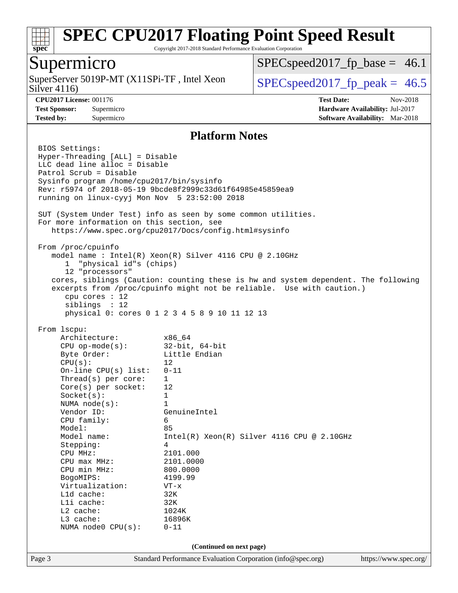

Copyright 2017-2018 Standard Performance Evaluation Corporation

## Supermicro

Silver 4116) SuperServer 5019P-MT  $(X11SPi-TF)$ , Intel Xeon  $\big|$  [SPECspeed2017\\_fp\\_peak =](http://www.spec.org/auto/cpu2017/Docs/result-fields.html#SPECspeed2017fppeak) 46.5

 $SPECspeed2017_fp\_base = 46.1$ 

**[CPU2017 License:](http://www.spec.org/auto/cpu2017/Docs/result-fields.html#CPU2017License)** 001176 **[Test Date:](http://www.spec.org/auto/cpu2017/Docs/result-fields.html#TestDate)** Nov-2018 **[Test Sponsor:](http://www.spec.org/auto/cpu2017/Docs/result-fields.html#TestSponsor)** Supermicro **[Hardware Availability:](http://www.spec.org/auto/cpu2017/Docs/result-fields.html#HardwareAvailability)** Jul-2017 **[Tested by:](http://www.spec.org/auto/cpu2017/Docs/result-fields.html#Testedby)** Supermicro **[Software Availability:](http://www.spec.org/auto/cpu2017/Docs/result-fields.html#SoftwareAvailability)** Mar-2018

#### **[Platform Notes](http://www.spec.org/auto/cpu2017/Docs/result-fields.html#PlatformNotes)**

Page 3 Standard Performance Evaluation Corporation [\(info@spec.org\)](mailto:info@spec.org) <https://www.spec.org/> BIOS Settings: Hyper-Threading [ALL] = Disable LLC dead line alloc = Disable Patrol Scrub = Disable Sysinfo program /home/cpu2017/bin/sysinfo Rev: r5974 of 2018-05-19 9bcde8f2999c33d61f64985e45859ea9 running on linux-cyyj Mon Nov 5 23:52:00 2018 SUT (System Under Test) info as seen by some common utilities. For more information on this section, see <https://www.spec.org/cpu2017/Docs/config.html#sysinfo> From /proc/cpuinfo model name : Intel(R) Xeon(R) Silver 4116 CPU @ 2.10GHz 1 "physical id"s (chips) 12 "processors" cores, siblings (Caution: counting these is hw and system dependent. The following excerpts from /proc/cpuinfo might not be reliable. Use with caution.) cpu cores : 12 siblings : 12 physical 0: cores 0 1 2 3 4 5 8 9 10 11 12 13 From lscpu: Architecture: x86\_64 CPU op-mode(s): 32-bit, 64-bit Byte Order: Little Endian  $CPU(s):$  12 On-line CPU(s) list: 0-11 Thread(s) per core: 1 Core(s) per socket: 12 Socket(s): 1 NUMA node(s): 1 Vendor ID: GenuineIntel CPU family: 6 Model: 85 Model name: Intel(R) Xeon(R) Silver 4116 CPU @ 2.10GHz Stepping: 4 CPU MHz: 2101.000 CPU max MHz: 2101.0000 CPU min MHz: 800.0000 BogoMIPS: 4199.99 Virtualization: VT-x L1d cache: 32K L1i cache: 32K L2 cache: 1024K L3 cache: 16896K NUMA node0 CPU(s): 0-11 **(Continued on next page)**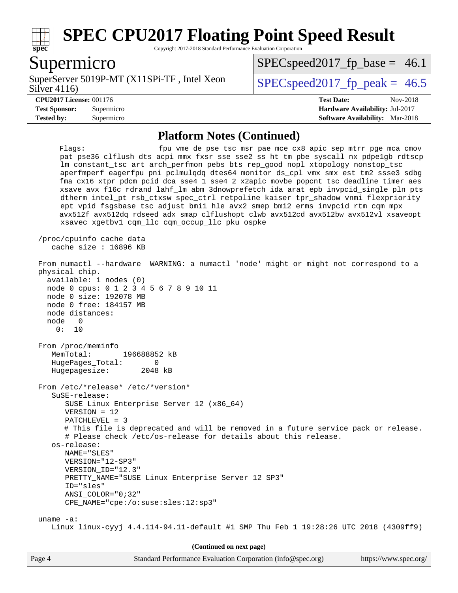

Copyright 2017-2018 Standard Performance Evaluation Corporation

### Supermicro

Silver 4116) SuperServer 5019P-MT (X11SPi-TF, Intel Xeon  $S^{2}$  SPECspeed 2017 fp\_peak = 46.5

 $SPECspeed2017_fp\_base = 46.1$ 

**[Tested by:](http://www.spec.org/auto/cpu2017/Docs/result-fields.html#Testedby)** Supermicro **[Software Availability:](http://www.spec.org/auto/cpu2017/Docs/result-fields.html#SoftwareAvailability)** Mar-2018

**[CPU2017 License:](http://www.spec.org/auto/cpu2017/Docs/result-fields.html#CPU2017License)** 001176 **[Test Date:](http://www.spec.org/auto/cpu2017/Docs/result-fields.html#TestDate)** Nov-2018 **[Test Sponsor:](http://www.spec.org/auto/cpu2017/Docs/result-fields.html#TestSponsor)** Supermicro **[Hardware Availability:](http://www.spec.org/auto/cpu2017/Docs/result-fields.html#HardwareAvailability)** Jul-2017

#### **[Platform Notes \(Continued\)](http://www.spec.org/auto/cpu2017/Docs/result-fields.html#PlatformNotes)**

Flags: fpu vme de pse tsc msr pae mce cx8 apic sep mtrr pge mca cmov pat pse36 clflush dts acpi mmx fxsr sse sse2 ss ht tm pbe syscall nx pdpe1gb rdtscp lm constant\_tsc art arch\_perfmon pebs bts rep\_good nopl xtopology nonstop\_tsc aperfmperf eagerfpu pni pclmulqdq dtes64 monitor ds\_cpl vmx smx est tm2 ssse3 sdbg fma cx16 xtpr pdcm pcid dca sse4\_1 sse4\_2 x2apic movbe popcnt tsc\_deadline\_timer aes xsave avx f16c rdrand lahf\_lm abm 3dnowprefetch ida arat epb invpcid\_single pln pts dtherm intel\_pt rsb\_ctxsw spec\_ctrl retpoline kaiser tpr\_shadow vnmi flexpriority ept vpid fsgsbase tsc\_adjust bmi1 hle avx2 smep bmi2 erms invpcid rtm cqm mpx avx512f avx512dq rdseed adx smap clflushopt clwb avx512cd avx512bw avx512vl xsaveopt xsavec xgetbv1 cqm\_llc cqm\_occup\_llc pku ospke /proc/cpuinfo cache data cache size : 16896 KB From numactl --hardware WARNING: a numactl 'node' might or might not correspond to a physical chip. available: 1 nodes (0) node 0 cpus: 0 1 2 3 4 5 6 7 8 9 10 11 node 0 size: 192078 MB node 0 free: 184157 MB node distances: node 0 0: 10 From /proc/meminfo MemTotal: 196688852 kB HugePages\_Total: 0 Hugepagesize: 2048 kB From /etc/\*release\* /etc/\*version\* SuSE-release: SUSE Linux Enterprise Server 12 (x86\_64) VERSION = 12 PATCHLEVEL = 3 # This file is deprecated and will be removed in a future service pack or release. # Please check /etc/os-release for details about this release. os-release: NAME="SLES" VERSION="12-SP3" VERSION\_ID="12.3" PRETTY\_NAME="SUSE Linux Enterprise Server 12 SP3" ID="sles" ANSI\_COLOR="0;32" CPE\_NAME="cpe:/o:suse:sles:12:sp3" uname -a: Linux linux-cyyj 4.4.114-94.11-default #1 SMP Thu Feb 1 19:28:26 UTC 2018 (4309ff9) **(Continued on next page)**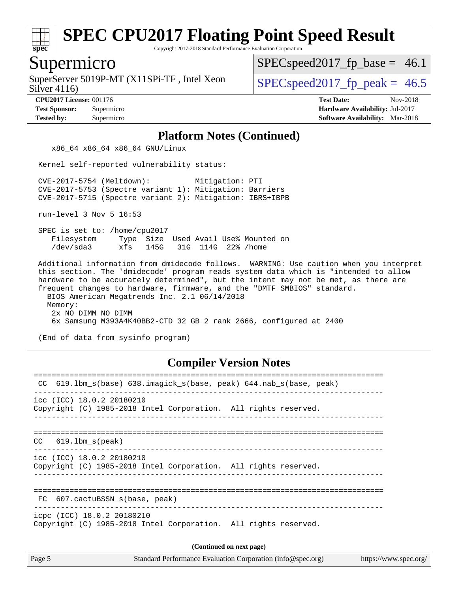

Copyright 2017-2018 Standard Performance Evaluation Corporation

#### Supermicro

Silver 4116) SuperServer 5019P-MT (X11SPi-TF, Intel Xeon  $S^{2}$  SPECspeed 2017 fp\_peak = 46.5

 $SPECspeed2017_fp\_base = 46.1$ 

**[CPU2017 License:](http://www.spec.org/auto/cpu2017/Docs/result-fields.html#CPU2017License)** 001176 **[Test Date:](http://www.spec.org/auto/cpu2017/Docs/result-fields.html#TestDate)** Nov-2018 **[Test Sponsor:](http://www.spec.org/auto/cpu2017/Docs/result-fields.html#TestSponsor)** Supermicro **[Hardware Availability:](http://www.spec.org/auto/cpu2017/Docs/result-fields.html#HardwareAvailability)** Jul-2017 **[Tested by:](http://www.spec.org/auto/cpu2017/Docs/result-fields.html#Testedby)** Supermicro **[Software Availability:](http://www.spec.org/auto/cpu2017/Docs/result-fields.html#SoftwareAvailability)** Mar-2018

#### **[Platform Notes \(Continued\)](http://www.spec.org/auto/cpu2017/Docs/result-fields.html#PlatformNotes)**

x86\_64 x86\_64 x86\_64 GNU/Linux

Kernel self-reported vulnerability status:

 CVE-2017-5754 (Meltdown): Mitigation: PTI CVE-2017-5753 (Spectre variant 1): Mitigation: Barriers CVE-2017-5715 (Spectre variant 2): Mitigation: IBRS+IBPB

run-level 3 Nov 5 16:53

 SPEC is set to: /home/cpu2017 Filesystem Type Size Used Avail Use% Mounted on /dev/sda3 xfs 145G 31G 114G 22% /home

 Additional information from dmidecode follows. WARNING: Use caution when you interpret this section. The 'dmidecode' program reads system data which is "intended to allow hardware to be accurately determined", but the intent may not be met, as there are frequent changes to hardware, firmware, and the "DMTF SMBIOS" standard. BIOS American Megatrends Inc. 2.1 06/14/2018 Memory: 2x NO DIMM NO DIMM 6x Samsung M393A4K40BB2-CTD 32 GB 2 rank 2666, configured at 2400

(End of data from sysinfo program)

#### **[Compiler Version Notes](http://www.spec.org/auto/cpu2017/Docs/result-fields.html#CompilerVersionNotes)**

| 619.1bm_s(base) 638.imagick_s(base, peak) 644.nab_s(base, peak)<br>CC                                                                                                                                                                |  |  |  |  |
|--------------------------------------------------------------------------------------------------------------------------------------------------------------------------------------------------------------------------------------|--|--|--|--|
| icc (ICC) 18.0.2 20180210<br>Copyright (C) 1985-2018 Intel Corporation. All rights reserved.                                                                                                                                         |  |  |  |  |
| $CC$ 619.1bm $s$ (peak)                                                                                                                                                                                                              |  |  |  |  |
| icc (ICC) 18.0.2 20180210<br>Copyright (C) 1985-2018 Intel Corporation. All rights reserved.                                                                                                                                         |  |  |  |  |
| FC 607.cactuBSSN s(base, peak)                                                                                                                                                                                                       |  |  |  |  |
| icpc (ICC) 18.0.2 20180210<br>Copyright (C) 1985-2018 Intel Corporation. All rights reserved.                                                                                                                                        |  |  |  |  |
| (Continued on next page)                                                                                                                                                                                                             |  |  |  |  |
| <u>a sua misa musicalità di controllato di controllato di controllato di controllato di controllato di controllato di controllato di controllato di controllato di controllato di controllato di controllato di controllato di c</u> |  |  |  |  |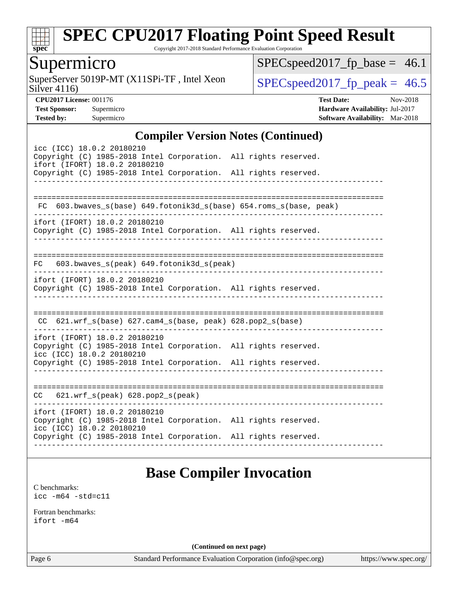

Copyright 2017-2018 Standard Performance Evaluation Corporation

## Supermicro

Silver 4116) SuperServer 5019P-MT (X11SPi-TF, Intel Xeon  $Solve(4116)$ 

 $SPEC speed2017_fp\_base = 46.1$ 

**[CPU2017 License:](http://www.spec.org/auto/cpu2017/Docs/result-fields.html#CPU2017License)** 001176 **[Test Date:](http://www.spec.org/auto/cpu2017/Docs/result-fields.html#TestDate)** Nov-2018 **[Test Sponsor:](http://www.spec.org/auto/cpu2017/Docs/result-fields.html#TestSponsor)** Supermicro **[Hardware Availability:](http://www.spec.org/auto/cpu2017/Docs/result-fields.html#HardwareAvailability)** Jul-2017 **[Tested by:](http://www.spec.org/auto/cpu2017/Docs/result-fields.html#Testedby)** Supermicro **[Software Availability:](http://www.spec.org/auto/cpu2017/Docs/result-fields.html#SoftwareAvailability)** Mar-2018

#### **[Compiler Version Notes \(Continued\)](http://www.spec.org/auto/cpu2017/Docs/result-fields.html#CompilerVersionNotes)**

| icc (ICC) 18.0.2 20180210                                                                        |                               |
|--------------------------------------------------------------------------------------------------|-------------------------------|
| Copyright (C) 1985-2018 Intel Corporation. All rights reserved.<br>ifort (IFORT) 18.0.2 20180210 |                               |
| Copyright (C) 1985-2018 Intel Corporation. All rights reserved.                                  |                               |
|                                                                                                  |                               |
|                                                                                                  |                               |
| 603.bwaves_s(base) 649.fotonik3d_s(base) 654.roms_s(base, peak)<br>FC.                           |                               |
| ifort (IFORT) 18.0.2 20180210                                                                    |                               |
| Copyright (C) 1985-2018 Intel Corporation. All rights reserved.                                  |                               |
|                                                                                                  |                               |
|                                                                                                  |                               |
| FC 603.bwaves_s(peak) 649.fotonik3d_s(peak)                                                      |                               |
| ifort (IFORT) 18.0.2 20180210                                                                    |                               |
| Copyright (C) 1985-2018 Intel Corporation. All rights reserved.                                  |                               |
|                                                                                                  |                               |
|                                                                                                  |                               |
| CC 621.wrf_s(base) 627.cam4_s(base, peak) 628.pop2_s(base)                                       |                               |
| ifort (IFORT) 18.0.2 20180210                                                                    | ----------------------------- |
| Copyright (C) 1985-2018 Intel Corporation. All rights reserved.                                  |                               |
| icc (ICC) 18.0.2 20180210                                                                        |                               |
| Copyright (C) 1985-2018 Intel Corporation. All rights reserved.                                  |                               |
|                                                                                                  |                               |
| $CC$ 621.wrf_s(peak) 628.pop2_s(peak)                                                            |                               |
|                                                                                                  |                               |
|                                                                                                  |                               |
| ifort (IFORT) 18.0.2 20180210                                                                    |                               |
| Copyright (C) 1985-2018 Intel Corporation. All rights reserved.<br>icc (ICC) 18.0.2 20180210     |                               |

## **[Base Compiler Invocation](http://www.spec.org/auto/cpu2017/Docs/result-fields.html#BaseCompilerInvocation)**

[C benchmarks](http://www.spec.org/auto/cpu2017/Docs/result-fields.html#Cbenchmarks): [icc -m64 -std=c11](http://www.spec.org/cpu2017/results/res2018q4/cpu2017-20181112-09658.flags.html#user_CCbase_intel_icc_64bit_c11_33ee0cdaae7deeeab2a9725423ba97205ce30f63b9926c2519791662299b76a0318f32ddfffdc46587804de3178b4f9328c46fa7c2b0cd779d7a61945c91cd35)

[Fortran benchmarks](http://www.spec.org/auto/cpu2017/Docs/result-fields.html#Fortranbenchmarks): [ifort -m64](http://www.spec.org/cpu2017/results/res2018q4/cpu2017-20181112-09658.flags.html#user_FCbase_intel_ifort_64bit_24f2bb282fbaeffd6157abe4f878425411749daecae9a33200eee2bee2fe76f3b89351d69a8130dd5949958ce389cf37ff59a95e7a40d588e8d3a57e0c3fd751)

**(Continued on next page)**

Page 6 Standard Performance Evaluation Corporation [\(info@spec.org\)](mailto:info@spec.org) <https://www.spec.org/>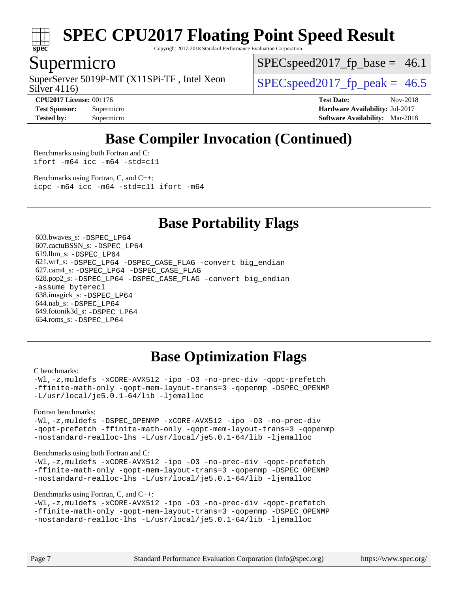

Copyright 2017-2018 Standard Performance Evaluation Corporation

## Supermicro

Silver 4116) SuperServer 5019P-MT (X11SPi-TF, Intel Xeon  $S^{2}$  SPECspeed 2017 fp\_peak = 46.5

 $SPECspeed2017<sub>fp</sub> base = 46.1$ 

**[Tested by:](http://www.spec.org/auto/cpu2017/Docs/result-fields.html#Testedby)** Supermicro **[Software Availability:](http://www.spec.org/auto/cpu2017/Docs/result-fields.html#SoftwareAvailability)** Mar-2018

**[CPU2017 License:](http://www.spec.org/auto/cpu2017/Docs/result-fields.html#CPU2017License)** 001176 **[Test Date:](http://www.spec.org/auto/cpu2017/Docs/result-fields.html#TestDate)** Nov-2018 **[Test Sponsor:](http://www.spec.org/auto/cpu2017/Docs/result-fields.html#TestSponsor)** Supermicro **[Hardware Availability:](http://www.spec.org/auto/cpu2017/Docs/result-fields.html#HardwareAvailability)** Jul-2017

## **[Base Compiler Invocation \(Continued\)](http://www.spec.org/auto/cpu2017/Docs/result-fields.html#BaseCompilerInvocation)**

[Benchmarks using both Fortran and C](http://www.spec.org/auto/cpu2017/Docs/result-fields.html#BenchmarksusingbothFortranandC): [ifort -m64](http://www.spec.org/cpu2017/results/res2018q4/cpu2017-20181112-09658.flags.html#user_CC_FCbase_intel_ifort_64bit_24f2bb282fbaeffd6157abe4f878425411749daecae9a33200eee2bee2fe76f3b89351d69a8130dd5949958ce389cf37ff59a95e7a40d588e8d3a57e0c3fd751) [icc -m64 -std=c11](http://www.spec.org/cpu2017/results/res2018q4/cpu2017-20181112-09658.flags.html#user_CC_FCbase_intel_icc_64bit_c11_33ee0cdaae7deeeab2a9725423ba97205ce30f63b9926c2519791662299b76a0318f32ddfffdc46587804de3178b4f9328c46fa7c2b0cd779d7a61945c91cd35)

[Benchmarks using Fortran, C, and C++:](http://www.spec.org/auto/cpu2017/Docs/result-fields.html#BenchmarksusingFortranCandCXX) [icpc -m64](http://www.spec.org/cpu2017/results/res2018q4/cpu2017-20181112-09658.flags.html#user_CC_CXX_FCbase_intel_icpc_64bit_4ecb2543ae3f1412ef961e0650ca070fec7b7afdcd6ed48761b84423119d1bf6bdf5cad15b44d48e7256388bc77273b966e5eb805aefd121eb22e9299b2ec9d9) [icc -m64 -std=c11](http://www.spec.org/cpu2017/results/res2018q4/cpu2017-20181112-09658.flags.html#user_CC_CXX_FCbase_intel_icc_64bit_c11_33ee0cdaae7deeeab2a9725423ba97205ce30f63b9926c2519791662299b76a0318f32ddfffdc46587804de3178b4f9328c46fa7c2b0cd779d7a61945c91cd35) [ifort -m64](http://www.spec.org/cpu2017/results/res2018q4/cpu2017-20181112-09658.flags.html#user_CC_CXX_FCbase_intel_ifort_64bit_24f2bb282fbaeffd6157abe4f878425411749daecae9a33200eee2bee2fe76f3b89351d69a8130dd5949958ce389cf37ff59a95e7a40d588e8d3a57e0c3fd751)

### **[Base Portability Flags](http://www.spec.org/auto/cpu2017/Docs/result-fields.html#BasePortabilityFlags)**

 603.bwaves\_s: [-DSPEC\\_LP64](http://www.spec.org/cpu2017/results/res2018q4/cpu2017-20181112-09658.flags.html#suite_basePORTABILITY603_bwaves_s_DSPEC_LP64) 607.cactuBSSN\_s: [-DSPEC\\_LP64](http://www.spec.org/cpu2017/results/res2018q4/cpu2017-20181112-09658.flags.html#suite_basePORTABILITY607_cactuBSSN_s_DSPEC_LP64) 619.lbm\_s: [-DSPEC\\_LP64](http://www.spec.org/cpu2017/results/res2018q4/cpu2017-20181112-09658.flags.html#suite_basePORTABILITY619_lbm_s_DSPEC_LP64) 621.wrf\_s: [-DSPEC\\_LP64](http://www.spec.org/cpu2017/results/res2018q4/cpu2017-20181112-09658.flags.html#suite_basePORTABILITY621_wrf_s_DSPEC_LP64) [-DSPEC\\_CASE\\_FLAG](http://www.spec.org/cpu2017/results/res2018q4/cpu2017-20181112-09658.flags.html#b621.wrf_s_baseCPORTABILITY_DSPEC_CASE_FLAG) [-convert big\\_endian](http://www.spec.org/cpu2017/results/res2018q4/cpu2017-20181112-09658.flags.html#user_baseFPORTABILITY621_wrf_s_convert_big_endian_c3194028bc08c63ac5d04de18c48ce6d347e4e562e8892b8bdbdc0214820426deb8554edfa529a3fb25a586e65a3d812c835984020483e7e73212c4d31a38223) 627.cam4\_s: [-DSPEC\\_LP64](http://www.spec.org/cpu2017/results/res2018q4/cpu2017-20181112-09658.flags.html#suite_basePORTABILITY627_cam4_s_DSPEC_LP64) [-DSPEC\\_CASE\\_FLAG](http://www.spec.org/cpu2017/results/res2018q4/cpu2017-20181112-09658.flags.html#b627.cam4_s_baseCPORTABILITY_DSPEC_CASE_FLAG) 628.pop2\_s: [-DSPEC\\_LP64](http://www.spec.org/cpu2017/results/res2018q4/cpu2017-20181112-09658.flags.html#suite_basePORTABILITY628_pop2_s_DSPEC_LP64) [-DSPEC\\_CASE\\_FLAG](http://www.spec.org/cpu2017/results/res2018q4/cpu2017-20181112-09658.flags.html#b628.pop2_s_baseCPORTABILITY_DSPEC_CASE_FLAG) [-convert big\\_endian](http://www.spec.org/cpu2017/results/res2018q4/cpu2017-20181112-09658.flags.html#user_baseFPORTABILITY628_pop2_s_convert_big_endian_c3194028bc08c63ac5d04de18c48ce6d347e4e562e8892b8bdbdc0214820426deb8554edfa529a3fb25a586e65a3d812c835984020483e7e73212c4d31a38223) [-assume byterecl](http://www.spec.org/cpu2017/results/res2018q4/cpu2017-20181112-09658.flags.html#user_baseFPORTABILITY628_pop2_s_assume_byterecl_7e47d18b9513cf18525430bbf0f2177aa9bf368bc7a059c09b2c06a34b53bd3447c950d3f8d6c70e3faf3a05c8557d66a5798b567902e8849adc142926523472) 638.imagick\_s: [-DSPEC\\_LP64](http://www.spec.org/cpu2017/results/res2018q4/cpu2017-20181112-09658.flags.html#suite_basePORTABILITY638_imagick_s_DSPEC_LP64) 644.nab\_s: [-DSPEC\\_LP64](http://www.spec.org/cpu2017/results/res2018q4/cpu2017-20181112-09658.flags.html#suite_basePORTABILITY644_nab_s_DSPEC_LP64) 649.fotonik3d\_s: [-DSPEC\\_LP64](http://www.spec.org/cpu2017/results/res2018q4/cpu2017-20181112-09658.flags.html#suite_basePORTABILITY649_fotonik3d_s_DSPEC_LP64) 654.roms\_s: [-DSPEC\\_LP64](http://www.spec.org/cpu2017/results/res2018q4/cpu2017-20181112-09658.flags.html#suite_basePORTABILITY654_roms_s_DSPEC_LP64)

## **[Base Optimization Flags](http://www.spec.org/auto/cpu2017/Docs/result-fields.html#BaseOptimizationFlags)**

#### [C benchmarks](http://www.spec.org/auto/cpu2017/Docs/result-fields.html#Cbenchmarks):

[-Wl,-z,muldefs](http://www.spec.org/cpu2017/results/res2018q4/cpu2017-20181112-09658.flags.html#user_CCbase_link_force_multiple1_b4cbdb97b34bdee9ceefcfe54f4c8ea74255f0b02a4b23e853cdb0e18eb4525ac79b5a88067c842dd0ee6996c24547a27a4b99331201badda8798ef8a743f577) [-xCORE-AVX512](http://www.spec.org/cpu2017/results/res2018q4/cpu2017-20181112-09658.flags.html#user_CCbase_f-xCORE-AVX512) [-ipo](http://www.spec.org/cpu2017/results/res2018q4/cpu2017-20181112-09658.flags.html#user_CCbase_f-ipo) [-O3](http://www.spec.org/cpu2017/results/res2018q4/cpu2017-20181112-09658.flags.html#user_CCbase_f-O3) [-no-prec-div](http://www.spec.org/cpu2017/results/res2018q4/cpu2017-20181112-09658.flags.html#user_CCbase_f-no-prec-div) [-qopt-prefetch](http://www.spec.org/cpu2017/results/res2018q4/cpu2017-20181112-09658.flags.html#user_CCbase_f-qopt-prefetch) [-ffinite-math-only](http://www.spec.org/cpu2017/results/res2018q4/cpu2017-20181112-09658.flags.html#user_CCbase_f_finite_math_only_cb91587bd2077682c4b38af759c288ed7c732db004271a9512da14a4f8007909a5f1427ecbf1a0fb78ff2a814402c6114ac565ca162485bbcae155b5e4258871) [-qopt-mem-layout-trans=3](http://www.spec.org/cpu2017/results/res2018q4/cpu2017-20181112-09658.flags.html#user_CCbase_f-qopt-mem-layout-trans_de80db37974c74b1f0e20d883f0b675c88c3b01e9d123adea9b28688d64333345fb62bc4a798493513fdb68f60282f9a726aa07f478b2f7113531aecce732043) [-qopenmp](http://www.spec.org/cpu2017/results/res2018q4/cpu2017-20181112-09658.flags.html#user_CCbase_qopenmp_16be0c44f24f464004c6784a7acb94aca937f053568ce72f94b139a11c7c168634a55f6653758ddd83bcf7b8463e8028bb0b48b77bcddc6b78d5d95bb1df2967) [-DSPEC\\_OPENMP](http://www.spec.org/cpu2017/results/res2018q4/cpu2017-20181112-09658.flags.html#suite_CCbase_DSPEC_OPENMP) [-L/usr/local/je5.0.1-64/lib](http://www.spec.org/cpu2017/results/res2018q4/cpu2017-20181112-09658.flags.html#user_CCbase_jemalloc_link_path64_4b10a636b7bce113509b17f3bd0d6226c5fb2346b9178c2d0232c14f04ab830f976640479e5c33dc2bcbbdad86ecfb6634cbbd4418746f06f368b512fced5394) [-ljemalloc](http://www.spec.org/cpu2017/results/res2018q4/cpu2017-20181112-09658.flags.html#user_CCbase_jemalloc_link_lib_d1249b907c500fa1c0672f44f562e3d0f79738ae9e3c4a9c376d49f265a04b9c99b167ecedbf6711b3085be911c67ff61f150a17b3472be731631ba4d0471706)

[Fortran benchmarks](http://www.spec.org/auto/cpu2017/Docs/result-fields.html#Fortranbenchmarks):

[-Wl,-z,muldefs](http://www.spec.org/cpu2017/results/res2018q4/cpu2017-20181112-09658.flags.html#user_FCbase_link_force_multiple1_b4cbdb97b34bdee9ceefcfe54f4c8ea74255f0b02a4b23e853cdb0e18eb4525ac79b5a88067c842dd0ee6996c24547a27a4b99331201badda8798ef8a743f577) [-DSPEC\\_OPENMP](http://www.spec.org/cpu2017/results/res2018q4/cpu2017-20181112-09658.flags.html#suite_FCbase_DSPEC_OPENMP) [-xCORE-AVX512](http://www.spec.org/cpu2017/results/res2018q4/cpu2017-20181112-09658.flags.html#user_FCbase_f-xCORE-AVX512) [-ipo](http://www.spec.org/cpu2017/results/res2018q4/cpu2017-20181112-09658.flags.html#user_FCbase_f-ipo) [-O3](http://www.spec.org/cpu2017/results/res2018q4/cpu2017-20181112-09658.flags.html#user_FCbase_f-O3) [-no-prec-div](http://www.spec.org/cpu2017/results/res2018q4/cpu2017-20181112-09658.flags.html#user_FCbase_f-no-prec-div) [-qopt-prefetch](http://www.spec.org/cpu2017/results/res2018q4/cpu2017-20181112-09658.flags.html#user_FCbase_f-qopt-prefetch) [-ffinite-math-only](http://www.spec.org/cpu2017/results/res2018q4/cpu2017-20181112-09658.flags.html#user_FCbase_f_finite_math_only_cb91587bd2077682c4b38af759c288ed7c732db004271a9512da14a4f8007909a5f1427ecbf1a0fb78ff2a814402c6114ac565ca162485bbcae155b5e4258871) [-qopt-mem-layout-trans=3](http://www.spec.org/cpu2017/results/res2018q4/cpu2017-20181112-09658.flags.html#user_FCbase_f-qopt-mem-layout-trans_de80db37974c74b1f0e20d883f0b675c88c3b01e9d123adea9b28688d64333345fb62bc4a798493513fdb68f60282f9a726aa07f478b2f7113531aecce732043) [-qopenmp](http://www.spec.org/cpu2017/results/res2018q4/cpu2017-20181112-09658.flags.html#user_FCbase_qopenmp_16be0c44f24f464004c6784a7acb94aca937f053568ce72f94b139a11c7c168634a55f6653758ddd83bcf7b8463e8028bb0b48b77bcddc6b78d5d95bb1df2967) [-nostandard-realloc-lhs](http://www.spec.org/cpu2017/results/res2018q4/cpu2017-20181112-09658.flags.html#user_FCbase_f_2003_std_realloc_82b4557e90729c0f113870c07e44d33d6f5a304b4f63d4c15d2d0f1fab99f5daaed73bdb9275d9ae411527f28b936061aa8b9c8f2d63842963b95c9dd6426b8a) [-L/usr/local/je5.0.1-64/lib](http://www.spec.org/cpu2017/results/res2018q4/cpu2017-20181112-09658.flags.html#user_FCbase_jemalloc_link_path64_4b10a636b7bce113509b17f3bd0d6226c5fb2346b9178c2d0232c14f04ab830f976640479e5c33dc2bcbbdad86ecfb6634cbbd4418746f06f368b512fced5394) [-ljemalloc](http://www.spec.org/cpu2017/results/res2018q4/cpu2017-20181112-09658.flags.html#user_FCbase_jemalloc_link_lib_d1249b907c500fa1c0672f44f562e3d0f79738ae9e3c4a9c376d49f265a04b9c99b167ecedbf6711b3085be911c67ff61f150a17b3472be731631ba4d0471706)

#### [Benchmarks using both Fortran and C](http://www.spec.org/auto/cpu2017/Docs/result-fields.html#BenchmarksusingbothFortranandC):

[-Wl,-z,muldefs](http://www.spec.org/cpu2017/results/res2018q4/cpu2017-20181112-09658.flags.html#user_CC_FCbase_link_force_multiple1_b4cbdb97b34bdee9ceefcfe54f4c8ea74255f0b02a4b23e853cdb0e18eb4525ac79b5a88067c842dd0ee6996c24547a27a4b99331201badda8798ef8a743f577) [-xCORE-AVX512](http://www.spec.org/cpu2017/results/res2018q4/cpu2017-20181112-09658.flags.html#user_CC_FCbase_f-xCORE-AVX512) [-ipo](http://www.spec.org/cpu2017/results/res2018q4/cpu2017-20181112-09658.flags.html#user_CC_FCbase_f-ipo) [-O3](http://www.spec.org/cpu2017/results/res2018q4/cpu2017-20181112-09658.flags.html#user_CC_FCbase_f-O3) [-no-prec-div](http://www.spec.org/cpu2017/results/res2018q4/cpu2017-20181112-09658.flags.html#user_CC_FCbase_f-no-prec-div) [-qopt-prefetch](http://www.spec.org/cpu2017/results/res2018q4/cpu2017-20181112-09658.flags.html#user_CC_FCbase_f-qopt-prefetch) [-ffinite-math-only](http://www.spec.org/cpu2017/results/res2018q4/cpu2017-20181112-09658.flags.html#user_CC_FCbase_f_finite_math_only_cb91587bd2077682c4b38af759c288ed7c732db004271a9512da14a4f8007909a5f1427ecbf1a0fb78ff2a814402c6114ac565ca162485bbcae155b5e4258871) [-qopt-mem-layout-trans=3](http://www.spec.org/cpu2017/results/res2018q4/cpu2017-20181112-09658.flags.html#user_CC_FCbase_f-qopt-mem-layout-trans_de80db37974c74b1f0e20d883f0b675c88c3b01e9d123adea9b28688d64333345fb62bc4a798493513fdb68f60282f9a726aa07f478b2f7113531aecce732043) [-qopenmp](http://www.spec.org/cpu2017/results/res2018q4/cpu2017-20181112-09658.flags.html#user_CC_FCbase_qopenmp_16be0c44f24f464004c6784a7acb94aca937f053568ce72f94b139a11c7c168634a55f6653758ddd83bcf7b8463e8028bb0b48b77bcddc6b78d5d95bb1df2967) [-DSPEC\\_OPENMP](http://www.spec.org/cpu2017/results/res2018q4/cpu2017-20181112-09658.flags.html#suite_CC_FCbase_DSPEC_OPENMP) [-nostandard-realloc-lhs](http://www.spec.org/cpu2017/results/res2018q4/cpu2017-20181112-09658.flags.html#user_CC_FCbase_f_2003_std_realloc_82b4557e90729c0f113870c07e44d33d6f5a304b4f63d4c15d2d0f1fab99f5daaed73bdb9275d9ae411527f28b936061aa8b9c8f2d63842963b95c9dd6426b8a) [-L/usr/local/je5.0.1-64/lib](http://www.spec.org/cpu2017/results/res2018q4/cpu2017-20181112-09658.flags.html#user_CC_FCbase_jemalloc_link_path64_4b10a636b7bce113509b17f3bd0d6226c5fb2346b9178c2d0232c14f04ab830f976640479e5c33dc2bcbbdad86ecfb6634cbbd4418746f06f368b512fced5394) [-ljemalloc](http://www.spec.org/cpu2017/results/res2018q4/cpu2017-20181112-09658.flags.html#user_CC_FCbase_jemalloc_link_lib_d1249b907c500fa1c0672f44f562e3d0f79738ae9e3c4a9c376d49f265a04b9c99b167ecedbf6711b3085be911c67ff61f150a17b3472be731631ba4d0471706)

#### [Benchmarks using Fortran, C, and C++:](http://www.spec.org/auto/cpu2017/Docs/result-fields.html#BenchmarksusingFortranCandCXX)

```
-Wl,-z,muldefs -xCORE-AVX512 -ipo -O3 -no-prec-div -qopt-prefetch
-ffinite-math-only -qopt-mem-layout-trans=3 -qopenmp -DSPEC_OPENMP
-nostandard-realloc-lhs -L/usr/local/je5.0.1-64/lib -ljemalloc
```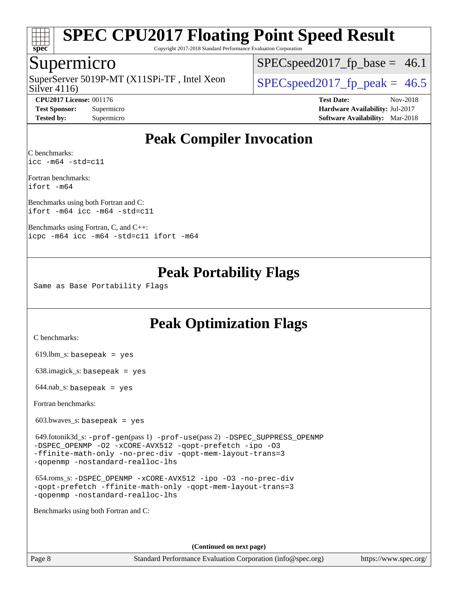

Copyright 2017-2018 Standard Performance Evaluation Corporation

### Supermicro

Silver 4116) SuperServer 5019P-MT (X11SPi-TF, Intel Xeon  $S^{2}$  SPECspeed 2017 fp\_peak = 46.5

 $SPECspeed2017_fp\_base = 46.1$ 

**[CPU2017 License:](http://www.spec.org/auto/cpu2017/Docs/result-fields.html#CPU2017License)** 001176 **[Test Date:](http://www.spec.org/auto/cpu2017/Docs/result-fields.html#TestDate)** Nov-2018 **[Test Sponsor:](http://www.spec.org/auto/cpu2017/Docs/result-fields.html#TestSponsor)** Supermicro **[Hardware Availability:](http://www.spec.org/auto/cpu2017/Docs/result-fields.html#HardwareAvailability)** Jul-2017 **[Tested by:](http://www.spec.org/auto/cpu2017/Docs/result-fields.html#Testedby)** Supermicro **[Software Availability:](http://www.spec.org/auto/cpu2017/Docs/result-fields.html#SoftwareAvailability)** Mar-2018

## **[Peak Compiler Invocation](http://www.spec.org/auto/cpu2017/Docs/result-fields.html#PeakCompilerInvocation)**

[C benchmarks](http://www.spec.org/auto/cpu2017/Docs/result-fields.html#Cbenchmarks): [icc -m64 -std=c11](http://www.spec.org/cpu2017/results/res2018q4/cpu2017-20181112-09658.flags.html#user_CCpeak_intel_icc_64bit_c11_33ee0cdaae7deeeab2a9725423ba97205ce30f63b9926c2519791662299b76a0318f32ddfffdc46587804de3178b4f9328c46fa7c2b0cd779d7a61945c91cd35)

[Fortran benchmarks:](http://www.spec.org/auto/cpu2017/Docs/result-fields.html#Fortranbenchmarks) [ifort -m64](http://www.spec.org/cpu2017/results/res2018q4/cpu2017-20181112-09658.flags.html#user_FCpeak_intel_ifort_64bit_24f2bb282fbaeffd6157abe4f878425411749daecae9a33200eee2bee2fe76f3b89351d69a8130dd5949958ce389cf37ff59a95e7a40d588e8d3a57e0c3fd751)

[Benchmarks using both Fortran and C](http://www.spec.org/auto/cpu2017/Docs/result-fields.html#BenchmarksusingbothFortranandC): [ifort -m64](http://www.spec.org/cpu2017/results/res2018q4/cpu2017-20181112-09658.flags.html#user_CC_FCpeak_intel_ifort_64bit_24f2bb282fbaeffd6157abe4f878425411749daecae9a33200eee2bee2fe76f3b89351d69a8130dd5949958ce389cf37ff59a95e7a40d588e8d3a57e0c3fd751) [icc -m64 -std=c11](http://www.spec.org/cpu2017/results/res2018q4/cpu2017-20181112-09658.flags.html#user_CC_FCpeak_intel_icc_64bit_c11_33ee0cdaae7deeeab2a9725423ba97205ce30f63b9926c2519791662299b76a0318f32ddfffdc46587804de3178b4f9328c46fa7c2b0cd779d7a61945c91cd35)

[Benchmarks using Fortran, C, and C++](http://www.spec.org/auto/cpu2017/Docs/result-fields.html#BenchmarksusingFortranCandCXX): [icpc -m64](http://www.spec.org/cpu2017/results/res2018q4/cpu2017-20181112-09658.flags.html#user_CC_CXX_FCpeak_intel_icpc_64bit_4ecb2543ae3f1412ef961e0650ca070fec7b7afdcd6ed48761b84423119d1bf6bdf5cad15b44d48e7256388bc77273b966e5eb805aefd121eb22e9299b2ec9d9) [icc -m64 -std=c11](http://www.spec.org/cpu2017/results/res2018q4/cpu2017-20181112-09658.flags.html#user_CC_CXX_FCpeak_intel_icc_64bit_c11_33ee0cdaae7deeeab2a9725423ba97205ce30f63b9926c2519791662299b76a0318f32ddfffdc46587804de3178b4f9328c46fa7c2b0cd779d7a61945c91cd35) [ifort -m64](http://www.spec.org/cpu2017/results/res2018q4/cpu2017-20181112-09658.flags.html#user_CC_CXX_FCpeak_intel_ifort_64bit_24f2bb282fbaeffd6157abe4f878425411749daecae9a33200eee2bee2fe76f3b89351d69a8130dd5949958ce389cf37ff59a95e7a40d588e8d3a57e0c3fd751)

## **[Peak Portability Flags](http://www.spec.org/auto/cpu2017/Docs/result-fields.html#PeakPortabilityFlags)**

Same as Base Portability Flags

## **[Peak Optimization Flags](http://www.spec.org/auto/cpu2017/Docs/result-fields.html#PeakOptimizationFlags)**

[C benchmarks](http://www.spec.org/auto/cpu2017/Docs/result-fields.html#Cbenchmarks):

 $619.$ lbm\_s: basepeak = yes

638.imagick\_s: basepeak = yes

 $644.nab$ <sub>S</sub>: basepeak = yes

[Fortran benchmarks](http://www.spec.org/auto/cpu2017/Docs/result-fields.html#Fortranbenchmarks):

603.bwaves\_s: basepeak = yes

 649.fotonik3d\_s: [-prof-gen](http://www.spec.org/cpu2017/results/res2018q4/cpu2017-20181112-09658.flags.html#user_peakPASS1_FFLAGSPASS1_LDFLAGS649_fotonik3d_s_prof_gen_5aa4926d6013ddb2a31985c654b3eb18169fc0c6952a63635c234f711e6e63dd76e94ad52365559451ec499a2cdb89e4dc58ba4c67ef54ca681ffbe1461d6b36)(pass 1) [-prof-use](http://www.spec.org/cpu2017/results/res2018q4/cpu2017-20181112-09658.flags.html#user_peakPASS2_FFLAGSPASS2_LDFLAGS649_fotonik3d_s_prof_use_1a21ceae95f36a2b53c25747139a6c16ca95bd9def2a207b4f0849963b97e94f5260e30a0c64f4bb623698870e679ca08317ef8150905d41bd88c6f78df73f19)(pass 2) [-DSPEC\\_SUPPRESS\\_OPENMP](http://www.spec.org/cpu2017/results/res2018q4/cpu2017-20181112-09658.flags.html#suite_peakPASS1_FOPTIMIZE649_fotonik3d_s_DSPEC_SUPPRESS_OPENMP) [-DSPEC\\_OPENMP](http://www.spec.org/cpu2017/results/res2018q4/cpu2017-20181112-09658.flags.html#suite_peakPASS2_FOPTIMIZE649_fotonik3d_s_DSPEC_OPENMP) [-O2](http://www.spec.org/cpu2017/results/res2018q4/cpu2017-20181112-09658.flags.html#user_peakPASS1_FOPTIMIZE649_fotonik3d_s_f-O2) [-xCORE-AVX512](http://www.spec.org/cpu2017/results/res2018q4/cpu2017-20181112-09658.flags.html#user_peakPASS2_FOPTIMIZE649_fotonik3d_s_f-xCORE-AVX512) [-qopt-prefetch](http://www.spec.org/cpu2017/results/res2018q4/cpu2017-20181112-09658.flags.html#user_peakPASS1_FOPTIMIZEPASS2_FOPTIMIZE649_fotonik3d_s_f-qopt-prefetch) [-ipo](http://www.spec.org/cpu2017/results/res2018q4/cpu2017-20181112-09658.flags.html#user_peakPASS2_FOPTIMIZE649_fotonik3d_s_f-ipo) [-O3](http://www.spec.org/cpu2017/results/res2018q4/cpu2017-20181112-09658.flags.html#user_peakPASS2_FOPTIMIZE649_fotonik3d_s_f-O3) [-ffinite-math-only](http://www.spec.org/cpu2017/results/res2018q4/cpu2017-20181112-09658.flags.html#user_peakPASS1_FOPTIMIZEPASS2_FOPTIMIZE649_fotonik3d_s_f_finite_math_only_cb91587bd2077682c4b38af759c288ed7c732db004271a9512da14a4f8007909a5f1427ecbf1a0fb78ff2a814402c6114ac565ca162485bbcae155b5e4258871) [-no-prec-div](http://www.spec.org/cpu2017/results/res2018q4/cpu2017-20181112-09658.flags.html#user_peakPASS2_FOPTIMIZE649_fotonik3d_s_f-no-prec-div) [-qopt-mem-layout-trans=3](http://www.spec.org/cpu2017/results/res2018q4/cpu2017-20181112-09658.flags.html#user_peakPASS1_FOPTIMIZEPASS2_FOPTIMIZE649_fotonik3d_s_f-qopt-mem-layout-trans_de80db37974c74b1f0e20d883f0b675c88c3b01e9d123adea9b28688d64333345fb62bc4a798493513fdb68f60282f9a726aa07f478b2f7113531aecce732043) [-qopenmp](http://www.spec.org/cpu2017/results/res2018q4/cpu2017-20181112-09658.flags.html#user_peakPASS2_FOPTIMIZE649_fotonik3d_s_qopenmp_16be0c44f24f464004c6784a7acb94aca937f053568ce72f94b139a11c7c168634a55f6653758ddd83bcf7b8463e8028bb0b48b77bcddc6b78d5d95bb1df2967) [-nostandard-realloc-lhs](http://www.spec.org/cpu2017/results/res2018q4/cpu2017-20181112-09658.flags.html#user_peakEXTRA_FOPTIMIZE649_fotonik3d_s_f_2003_std_realloc_82b4557e90729c0f113870c07e44d33d6f5a304b4f63d4c15d2d0f1fab99f5daaed73bdb9275d9ae411527f28b936061aa8b9c8f2d63842963b95c9dd6426b8a)

 654.roms\_s: [-DSPEC\\_OPENMP](http://www.spec.org/cpu2017/results/res2018q4/cpu2017-20181112-09658.flags.html#suite_peakFOPTIMIZE654_roms_s_DSPEC_OPENMP) [-xCORE-AVX512](http://www.spec.org/cpu2017/results/res2018q4/cpu2017-20181112-09658.flags.html#user_peakFOPTIMIZE654_roms_s_f-xCORE-AVX512) [-ipo](http://www.spec.org/cpu2017/results/res2018q4/cpu2017-20181112-09658.flags.html#user_peakFOPTIMIZE654_roms_s_f-ipo) [-O3](http://www.spec.org/cpu2017/results/res2018q4/cpu2017-20181112-09658.flags.html#user_peakFOPTIMIZE654_roms_s_f-O3) [-no-prec-div](http://www.spec.org/cpu2017/results/res2018q4/cpu2017-20181112-09658.flags.html#user_peakFOPTIMIZE654_roms_s_f-no-prec-div) [-qopt-prefetch](http://www.spec.org/cpu2017/results/res2018q4/cpu2017-20181112-09658.flags.html#user_peakFOPTIMIZE654_roms_s_f-qopt-prefetch) [-ffinite-math-only](http://www.spec.org/cpu2017/results/res2018q4/cpu2017-20181112-09658.flags.html#user_peakFOPTIMIZE654_roms_s_f_finite_math_only_cb91587bd2077682c4b38af759c288ed7c732db004271a9512da14a4f8007909a5f1427ecbf1a0fb78ff2a814402c6114ac565ca162485bbcae155b5e4258871) [-qopt-mem-layout-trans=3](http://www.spec.org/cpu2017/results/res2018q4/cpu2017-20181112-09658.flags.html#user_peakFOPTIMIZE654_roms_s_f-qopt-mem-layout-trans_de80db37974c74b1f0e20d883f0b675c88c3b01e9d123adea9b28688d64333345fb62bc4a798493513fdb68f60282f9a726aa07f478b2f7113531aecce732043) [-qopenmp](http://www.spec.org/cpu2017/results/res2018q4/cpu2017-20181112-09658.flags.html#user_peakFOPTIMIZE654_roms_s_qopenmp_16be0c44f24f464004c6784a7acb94aca937f053568ce72f94b139a11c7c168634a55f6653758ddd83bcf7b8463e8028bb0b48b77bcddc6b78d5d95bb1df2967) [-nostandard-realloc-lhs](http://www.spec.org/cpu2017/results/res2018q4/cpu2017-20181112-09658.flags.html#user_peakEXTRA_FOPTIMIZE654_roms_s_f_2003_std_realloc_82b4557e90729c0f113870c07e44d33d6f5a304b4f63d4c15d2d0f1fab99f5daaed73bdb9275d9ae411527f28b936061aa8b9c8f2d63842963b95c9dd6426b8a)

[Benchmarks using both Fortran and C](http://www.spec.org/auto/cpu2017/Docs/result-fields.html#BenchmarksusingbothFortranandC):

**(Continued on next page)**